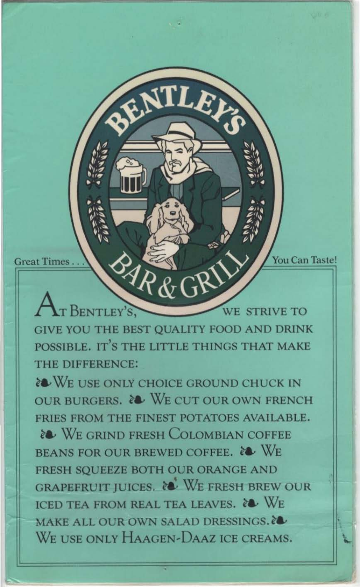Great Times ... **Solution of the CALL of ALL CALL Transfer ACCELL ACCELL ACCELL To UP ACCELL ACCELL ACCELL ACCELL** 

BENTLEY'S, WE STRIVE TO GIVE YOU THE BEST QUALITY FOOD AND DRlNK POSSIBLE. IT'S THE LlTILE THINGS THAT MAKE THE DIFFERENCE:

•

**EXAMPLE USE ONLY CHOICE GROUND CHUCK IN** OUR BURGERS. & WE CUT OUR OWN FRENCH FRIES FROM THE FINEST POTATOES AVAILABLE.

**EXAMPLE GRIND FRESH COLOMBIAN COFFEE** BEANS FOR OUR BREWED COFFEE. & WE FRESH SQUEEZE BOTH OUR ORANGE AND GRAPEFRUIT JUICES. & WE FRESH BREW OUR ICED TEA FROM REAL TEA LEAVES. & WE MAKE ALL OUR OWN SALAD DRESSINGS. WE USE ONLY HAAGEN-DAAZ ICE CREAMS.

--~==~-==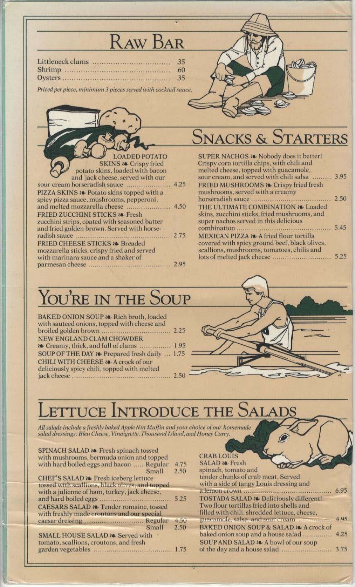# **RAW BAR**

|        | .35 <sub>1</sub> |
|--------|------------------|
| Shrimp | .60 <sub>1</sub> |
|        | .35              |

Priced per piece, minimum 3 pieces served with cocktail sauce.



#### TARTERS **VACKS &**

N

SUPER NACHOS Re Nobody does it better! Crispy corn tortilla chips, with chili and melted cheese, topped with guacamole, sour cream, and served with chili salsa ......... 3.95 FRIED MUSHROOMS & Crispy fried fresh mushrooms, served with a creamy  $\cdots$  2.50 horseradish sauce.......................... THE ULTIMATE COMBINATION & Loaded skins, zucchini sticks, fried mushrooms, and super nachos served in this delicious .......... 5.45 MEXICAN PIZZA a A fried flour tortilla covered with spicy ground beef, black olives, scallions, mushrooms, tomatoes, chilis and 

## YOU'RE IN THE SOUP

BAKED ONION SOUP a Rich broth, loaded with sauteed onions, topped with cheese and NEW ENGLAND CLAM CHOWDER to Creamy, thick, and full of clams ................. 1.95 SOUP OF THE DAY & Prepared fresh daily ... 1.75 CHILI WITH CHEESE 20 A crock of our deliciously spicy chili, topped with melted 

#### **ETTUCE INTRODUCE THE S SALADS**

All salads include a freshly baked Apple Nut Muffin and your choice of our homemade salad dressings: Bleu Cheese, Vinaigrette, Thousand Island, and Honey Curry.

| SPINACH SALAD a Fresh spinach tossed<br>with mushrooms, bermuda onion and topped<br>with hard boiled eggs and bacon  Regular<br>Small<br>CHEF'S SALAD & Fresh iceberg lettuce<br>tossed with scallions, black olives, and topped | 4.75<br>2.50 | <b>CRAB LOUIS</b><br><b>SALAD &amp; Fresh</b><br>spinach, tomato and<br>tender chunks of crab meat. Served<br>with a side of tangy Louis dressing and |              |
|----------------------------------------------------------------------------------------------------------------------------------------------------------------------------------------------------------------------------------|--------------|-------------------------------------------------------------------------------------------------------------------------------------------------------|--------------|
| with a julienne of ham, turkey, jack cheese,<br>CAESARS SALAD a Tender romaine, tossed<br>with freshly made croutons and our special                                                                                             | 5.25         | TOSTADA SALAD 20. Deliciously different!<br>Two flour tortillas fried into shells and<br>filled with chili, shredded lettuce, cheese,                 | 6.95         |
| Small                                                                                                                                                                                                                            | 4.50<br>2.50 | guaeamole, salsa, and sour cream annualism<br>BAKED ONION SOUP & SALAD & A crock of                                                                   | 4.95         |
| SMALL HOUSE SALAD a Served with<br>tomato, scallions, croutons, and fresh                                                                                                                                                        |              | baked onion soup and a house salad<br>SOUP AND SALAD & A bowl of our soup                                                                             | 4.25<br>3.75 |
|                                                                                                                                                                                                                                  |              |                                                                                                                                                       |              |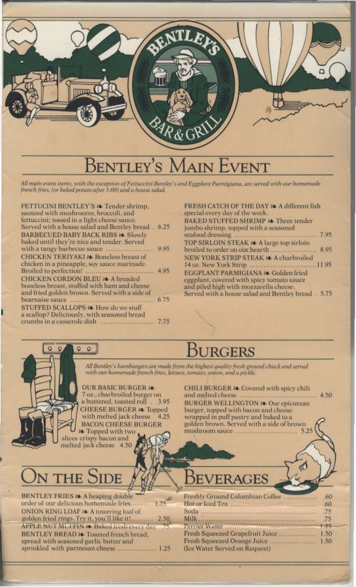

#### **SENTLEY** 'S VENT

All main event items, with the exception of Fettuccini Bentley's and Eggplant Parmigiana, are served with our homemade french fries, for baked potato after 5:00) and a house salad.

| <b>FETTUCINI BENTLEY S &amp; Tender shrimp.</b>                                      |  |
|--------------------------------------------------------------------------------------|--|
| sauteed with mushrooms, broccoli, and<br>fettuccini; tossed in a light cheese sauce. |  |
| Served with a house salad and Bentley bread. 6.25                                    |  |
| <b>BARBECUED BABY BACK RIBS as Slowly</b>                                            |  |
| baked until they're nice and tender. Served                                          |  |
|                                                                                      |  |
| <b>CHICKEN TERIYAKI at Boneless breast of</b>                                        |  |
| chicken in a pineapple, soy sauce marinade.                                          |  |
|                                                                                      |  |
| <b>CHICKEN CORDON BLEU a A breaded</b>                                               |  |
| boneless breast, stuffed with ham and cheese                                         |  |
| and fried golden brown. Served with a side of                                        |  |
|                                                                                      |  |
| <b>STUFFED SCALLOPS &amp; How do we stuff</b>                                        |  |
| a scallop? Deliciously, with seasoned bread                                          |  |
|                                                                                      |  |
|                                                                                      |  |

 $Q$ 

 $\circ$  $\circ$ 

| FRESH CATCH OF THE DAY 20 A different fish        |  |
|---------------------------------------------------|--|
| special every day of the week.                    |  |
| BAKED STUFFED SHRIMP & Three tender               |  |
| jumbo shrimp, topped with a seasoned              |  |
|                                                   |  |
| TOP SIRLOIN STEAK 24 A large top sirloin          |  |
|                                                   |  |
| NEW YORK STRIP STEAK a A charbroiled              |  |
|                                                   |  |
| EGGPLANT PARMIGIANA a Golden fried                |  |
| eggplant, covered with spicy tomato sauce         |  |
| and piled high with mozzarella cheese.            |  |
| Served with a house salad and Bentley bread. 5.75 |  |

#### **JURGERS**

All Bentley's hamburgers are made from the highest quality fresh ground chuck and served with our homemade french fries, lettuce, tomato, onion, and a pickle.

**OUR BASIC BURGER &** 7 oz., charbroiled burger on a buttered, toasted roll  $.3.95$ **CHEESE BURGER & Topped** with melted jack cheese 4.25 **BACON CHEESE BURGER** to Topped with two

slices crispy bacon and<br>melted jack cheese 4.50

CHILI BURGER a. Covered with spicy chili **BURGER WELLINGTON 28 Our epicurean** burger, topped with bacon and cheese wrapped in puff pastry and baked to a golden brown. Served with a side of brown mushroom sauce .................... 5.25

# N THE SIDE

 $\mathbb{D}$ 

| <b>BENTLEY FRIES &amp; A heaping double</b>     | .O |
|-------------------------------------------------|----|
| order of our delicious homemade fries 1.75      |    |
| ONION RING LOAF & A towering loaf of            |    |
| golden fried rings. Try it, you'll like it 2.50 |    |
| APPLE NUT MUTHIN & Baked fresh every day 75     |    |
| BENTLEY BREAD to Toasted french bread,          |    |
| spread with seasoned garlic butter and          |    |
| sprinkled with parmesan cheese 1.25             |    |
|                                                 |    |

#### BEVERAGES

| Freshly Ground Colombian Coffee           | .60 |
|-------------------------------------------|-----|
|                                           | .60 |
|                                           |     |
|                                           |     |
| Perrier Water monumental communities 1.25 |     |
| Fresh Squeezed Grapefruit Juice  1.50     |     |
|                                           |     |
| (Ice Water Served on Request)             |     |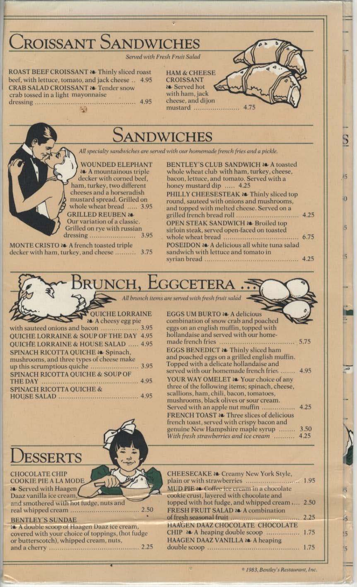

<sup>to</sup> 1983, Bentley's Restaurant, Inc.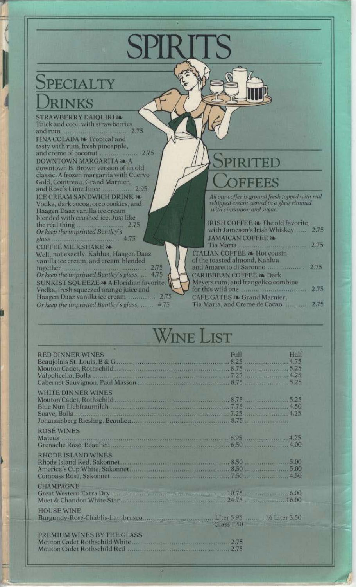## PECIALTY **RINKS**

**STRAWBERRY DAIQUIRI 20** Thick and cool, with strawberries PINA COLADA 24 Tropical and tasty with rum, fresh pineapple, **DOWNTOWN MARGARITA 20 A** downtown B. Brown version of an old classic. A frozen margarita with Cuervo Gold, Cointreau, Grand Marnier, and Rose's Lime Juice ............. 2.95 **ICE CREAM SANDWICH DRINK &** Vodka, dark cocoa, oreo cookies, and<br>Haagen Daaz vanilla ice cream blended with crushed ice. Just like the real thing...<br>Or keep the imprinted Bentley's 2.75

**COFFEE MILKSHAKE &** Well, not exactly. Kahlua, Haagen Daaz vanilla ice cream, and cream blended together<br>Or keep the imprinted Bentley's glass...... 4.75 SUNKIST SQUEEZE 24 A Floridian favorite. Vodka, fresh squeezed orange juice and Haagen Daaz vanilla ice cream .............. 2.75 Or keep the imprinted Bentley's glass. ...... 4.75

## RI DEEBES

All our coffee is ground fresh topped with real<br>whipped cream, served in a glass rimmed with cinnamon and sugar.

| IRISH COFFEE a. The old favorite,                |      |
|--------------------------------------------------|------|
| with Jameson's Irish Whiskey  2.75               |      |
| <b>JAMAICAN COFFEE 28</b>                        | 2,75 |
| Tia Maria<br><b>ITALIAN COFFEE 24 Hot cousin</b> |      |
| of the toasted almond, Kahlua                    |      |
| and Amaretto di Saronno                          |      |
| <b>CARIBBEAN COFFEE 28 Dark</b>                  |      |
| Mevers rum, and frangelico combine               |      |
| for this wild one manufactured and 2.75          |      |
| CAFE GATES 20 Grand Marnier,                     |      |
| Tia Maria, and Creme de Cacao                    | 2.75 |
|                                                  |      |

# INE LIST

| <b>RED DINNER WINES</b>                                                                                                                     | Hall<br>Full |
|---------------------------------------------------------------------------------------------------------------------------------------------|--------------|
| <b>WHITE DINNER WINES</b>                                                                                                                   |              |
| <b>ROSÉ WINES</b><br>Mateus 4.25<br>Grenache Rose, Beaulieu                                                                                 |              |
| <b>RHODE ISLAND WINES</b><br>Compass Rosé, Sakonnet (1996) (1996) (1997) (1997) (1998) (1998) (1998) (1998) (1998) (1998) (1998) (1999) (19 |              |
| <b>CHAMPAGNE</b><br>Great Western Extra Drygman Marian and Contract and Tana 10.75 (and the contract of 0.00                                |              |
| <b>HOUSE WINE</b><br>Glass 1.50                                                                                                             |              |
| PREMIUM WINES BY THE GLASS                                                                                                                  |              |